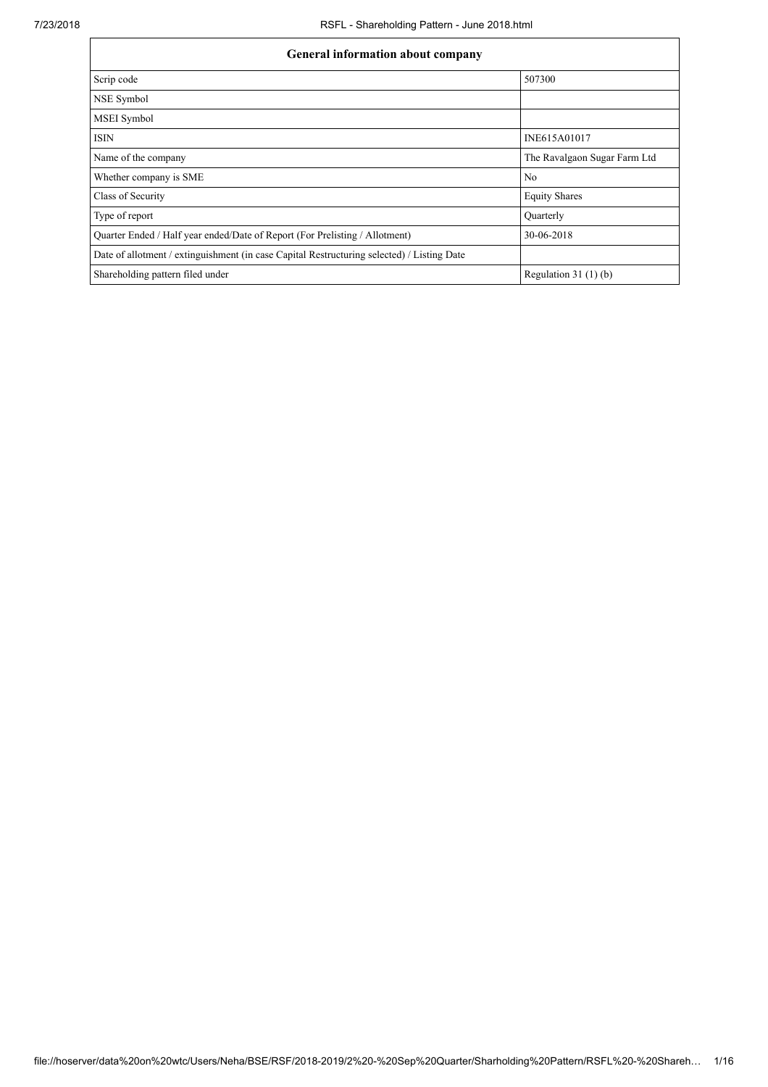| <b>General information about company</b>                                                   |                              |  |  |  |  |  |  |
|--------------------------------------------------------------------------------------------|------------------------------|--|--|--|--|--|--|
| Scrip code                                                                                 | 507300                       |  |  |  |  |  |  |
| NSE Symbol                                                                                 |                              |  |  |  |  |  |  |
| <b>MSEI</b> Symbol                                                                         |                              |  |  |  |  |  |  |
| <b>ISIN</b>                                                                                | INE615A01017                 |  |  |  |  |  |  |
| Name of the company                                                                        | The Ravalgaon Sugar Farm Ltd |  |  |  |  |  |  |
| Whether company is SME                                                                     | N <sub>0</sub>               |  |  |  |  |  |  |
| Class of Security                                                                          | <b>Equity Shares</b>         |  |  |  |  |  |  |
| Type of report                                                                             | Ouarterly                    |  |  |  |  |  |  |
| Quarter Ended / Half year ended/Date of Report (For Prelisting / Allotment)                | 30-06-2018                   |  |  |  |  |  |  |
| Date of allotment / extinguishment (in case Capital Restructuring selected) / Listing Date |                              |  |  |  |  |  |  |
| Shareholding pattern filed under                                                           | Regulation $31(1)(b)$        |  |  |  |  |  |  |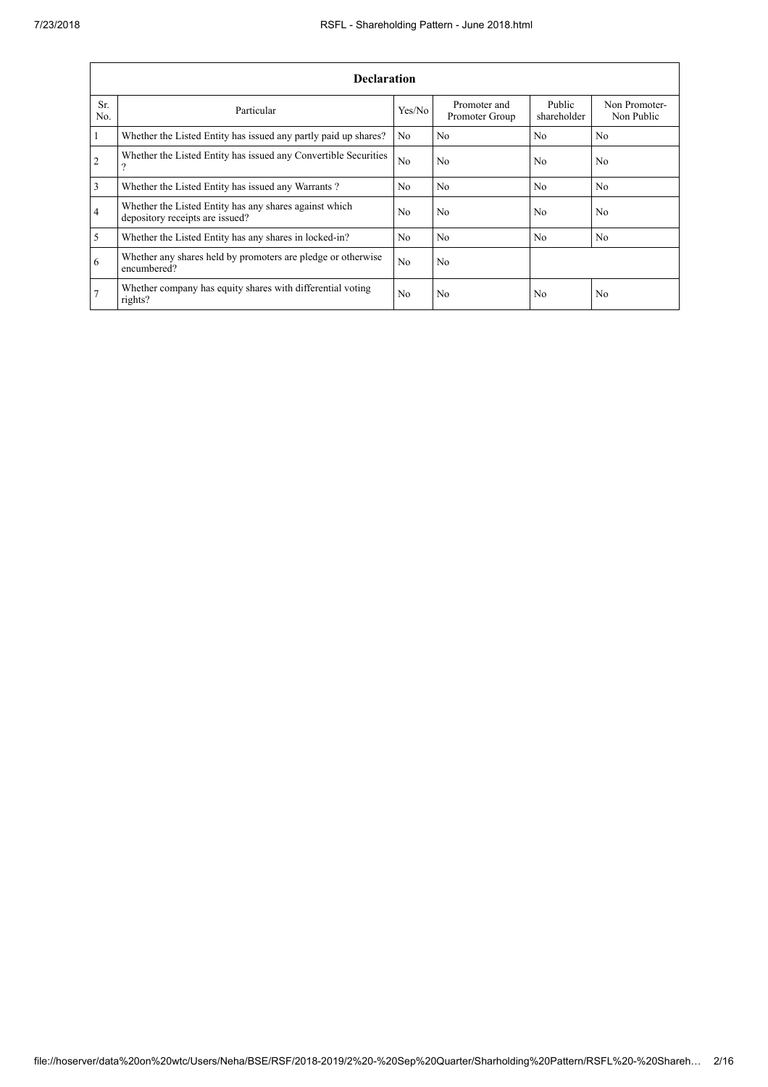|                | <b>Declaration</b>                                                                        |                |                                |                       |                             |  |  |  |  |  |
|----------------|-------------------------------------------------------------------------------------------|----------------|--------------------------------|-----------------------|-----------------------------|--|--|--|--|--|
| Sr.<br>No.     | Particular                                                                                | Yes/No         | Promoter and<br>Promoter Group | Public<br>shareholder | Non Promoter-<br>Non Public |  |  |  |  |  |
| $\mathbf{1}$   | Whether the Listed Entity has issued any partly paid up shares?                           | N <sub>0</sub> | No.                            | N <sub>0</sub>        | N <sub>0</sub>              |  |  |  |  |  |
| $\overline{2}$ | Whether the Listed Entity has issued any Convertible Securities<br>$\Omega$               | No             | N <sub>0</sub>                 | N <sub>0</sub>        | N <sub>0</sub>              |  |  |  |  |  |
| $\overline{3}$ | Whether the Listed Entity has issued any Warrants?                                        | N <sub>0</sub> | N <sub>o</sub>                 | N <sub>0</sub>        | N <sub>0</sub>              |  |  |  |  |  |
| $\overline{4}$ | Whether the Listed Entity has any shares against which<br>depository receipts are issued? | N <sub>0</sub> | N <sub>o</sub>                 | N <sub>0</sub>        | N <sub>0</sub>              |  |  |  |  |  |
| $\overline{5}$ | Whether the Listed Entity has any shares in locked-in?                                    | N <sub>0</sub> | N <sub>o</sub>                 | N <sub>0</sub>        | N <sub>0</sub>              |  |  |  |  |  |
| 6              | Whether any shares held by promoters are pledge or otherwise<br>encumbered?               | No             | N <sub>o</sub>                 |                       |                             |  |  |  |  |  |
| 7              | Whether company has equity shares with differential voting<br>rights?                     | N <sub>0</sub> | No.                            | N <sub>0</sub>        | N <sub>0</sub>              |  |  |  |  |  |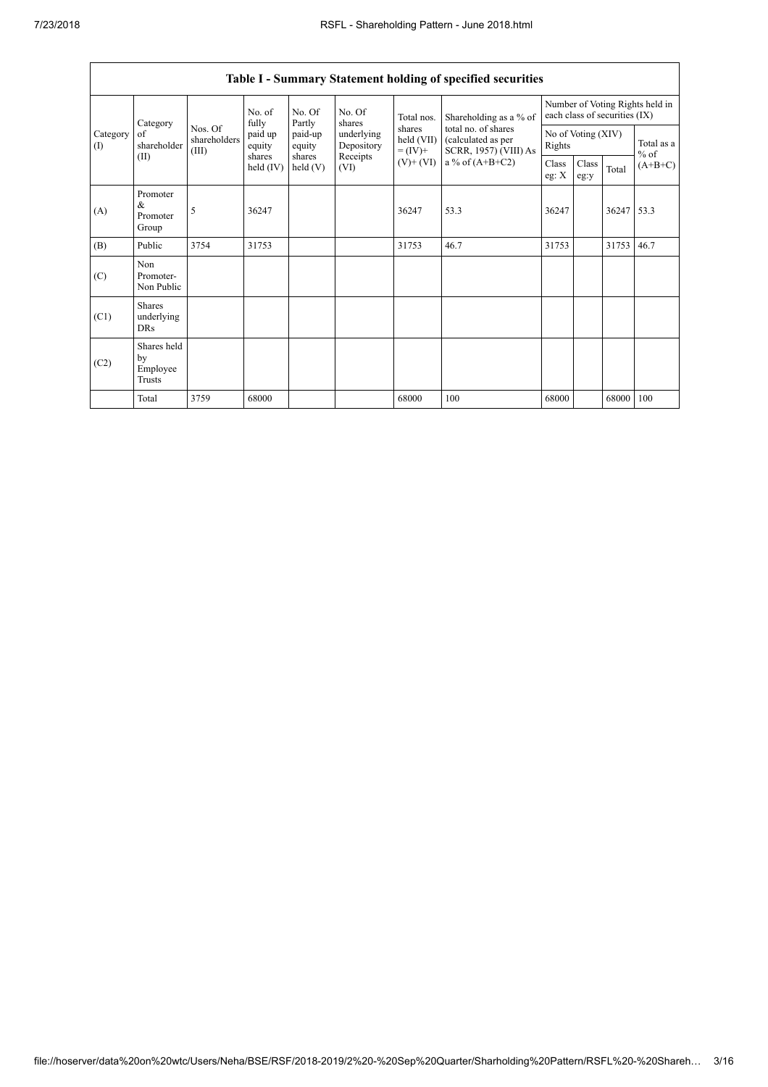$\overline{1}$ 

|                 | Table I - Summary Statement holding of specified securities |                                                                         |             |                                           |                                                                  |                                                  |                                                                    |                                                                  |                      |            |           |
|-----------------|-------------------------------------------------------------|-------------------------------------------------------------------------|-------------|-------------------------------------------|------------------------------------------------------------------|--------------------------------------------------|--------------------------------------------------------------------|------------------------------------------------------------------|----------------------|------------|-----------|
|                 | Category<br>of<br>shareholder<br>(II)                       | No. of<br>fully<br>Nos. Of<br>shareholders<br>equity<br>(III)<br>shares |             | No. Of<br>Partly                          | No. Of<br>shares<br>underlying<br>Depository<br>Receipts<br>(VI) | Total nos.                                       | Shareholding as a % of                                             | Number of Voting Rights held in<br>each class of securities (IX) |                      |            |           |
| Category<br>(1) |                                                             |                                                                         | paid up     | paid-up<br>equity<br>shares<br>held $(V)$ |                                                                  | shares<br>held (VII)<br>$= (IV) +$<br>$(V)+(VI)$ | total no. of shares<br>(calculated as per<br>SCRR, 1957) (VIII) As | No of Voting (XIV)<br>Rights                                     | Total as a<br>$%$ of |            |           |
|                 |                                                             |                                                                         | held $(IV)$ |                                           |                                                                  |                                                  | a % of $(A+B+C2)$                                                  | Class<br>eg: $X$                                                 | Class<br>eg:y        | Total      | $(A+B+C)$ |
| (A)             | Promoter<br>&<br>Promoter<br>Group                          | 5                                                                       | 36247       |                                           |                                                                  | 36247                                            | 53.3                                                               | 36247                                                            |                      | 36247 53.3 |           |
| (B)             | Public                                                      | 3754                                                                    | 31753       |                                           |                                                                  | 31753                                            | 46.7                                                               | 31753                                                            |                      | 31753      | 46.7      |
| (C)             | Non<br>Promoter-<br>Non Public                              |                                                                         |             |                                           |                                                                  |                                                  |                                                                    |                                                                  |                      |            |           |
| (C1)            | <b>Shares</b><br>underlying<br><b>DRs</b>                   |                                                                         |             |                                           |                                                                  |                                                  |                                                                    |                                                                  |                      |            |           |
| (C2)            | Shares held<br>by<br>Employee<br>Trusts                     |                                                                         |             |                                           |                                                                  |                                                  |                                                                    |                                                                  |                      |            |           |
|                 | Total                                                       | 3759                                                                    | 68000       |                                           |                                                                  | 68000                                            | 100                                                                | 68000                                                            |                      | 68000      | 100       |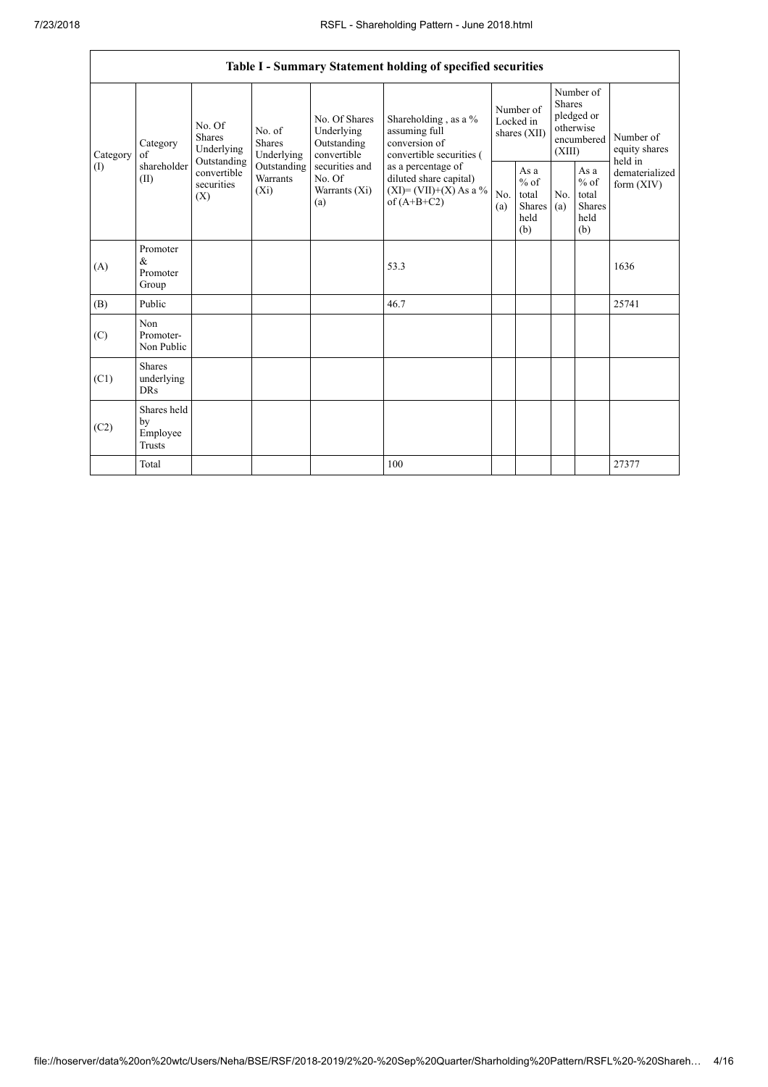|          |                                                |                                                                                                                         |                         |                                                                                                               | Table I - Summary Statement holding of specified securities                                                                                                                          |                                        |                                                  |                                                                               |                                                         |                                       |
|----------|------------------------------------------------|-------------------------------------------------------------------------------------------------------------------------|-------------------------|---------------------------------------------------------------------------------------------------------------|--------------------------------------------------------------------------------------------------------------------------------------------------------------------------------------|----------------------------------------|--------------------------------------------------|-------------------------------------------------------------------------------|---------------------------------------------------------|---------------------------------------|
| Category | Category<br>of<br>shareholder<br>(II)          | No. Of<br>No. of<br><b>Shares</b><br>Shares<br>Underlying<br>Outstanding<br>convertible<br>securities<br>$(X_i)$<br>(X) | Underlying              | No. Of Shares<br>Underlying<br>Outstanding<br>convertible<br>securities and<br>No. Of<br>Warrants (Xi)<br>(a) | Shareholding , as a $\%$<br>assuming full<br>conversion of<br>convertible securities (<br>as a percentage of<br>diluted share capital)<br>$(XI) = (VII)+(X) As a %$<br>of $(A+B+C2)$ | Number of<br>Locked in<br>shares (XII) |                                                  | Number of<br><b>Shares</b><br>pledged or<br>otherwise<br>encumbered<br>(XIII) |                                                         | Number of<br>equity shares<br>held in |
| (1)      |                                                |                                                                                                                         | Outstanding<br>Warrants |                                                                                                               |                                                                                                                                                                                      | No.<br>(a)                             | As a<br>$%$ of<br>total<br>Shares<br>held<br>(b) | No.<br>(a)                                                                    | As a<br>$%$ of<br>total<br><b>Shares</b><br>held<br>(b) | dematerialized<br>form $(XIV)$        |
| (A)      | Promoter<br>$\alpha$<br>Promoter<br>Group      |                                                                                                                         |                         |                                                                                                               | 53.3                                                                                                                                                                                 |                                        |                                                  |                                                                               |                                                         | 1636                                  |
| (B)      | Public                                         |                                                                                                                         |                         |                                                                                                               | 46.7                                                                                                                                                                                 |                                        |                                                  |                                                                               |                                                         | 25741                                 |
| (C)      | <b>Non</b><br>Promoter-<br>Non Public          |                                                                                                                         |                         |                                                                                                               |                                                                                                                                                                                      |                                        |                                                  |                                                                               |                                                         |                                       |
| (C1)     | <b>Shares</b><br>underlying<br><b>DRs</b>      |                                                                                                                         |                         |                                                                                                               |                                                                                                                                                                                      |                                        |                                                  |                                                                               |                                                         |                                       |
| (C2)     | Shares held<br>by<br>Employee<br><b>Trusts</b> |                                                                                                                         |                         |                                                                                                               |                                                                                                                                                                                      |                                        |                                                  |                                                                               |                                                         |                                       |
|          | Total                                          |                                                                                                                         |                         |                                                                                                               | 100                                                                                                                                                                                  |                                        |                                                  |                                                                               |                                                         | 27377                                 |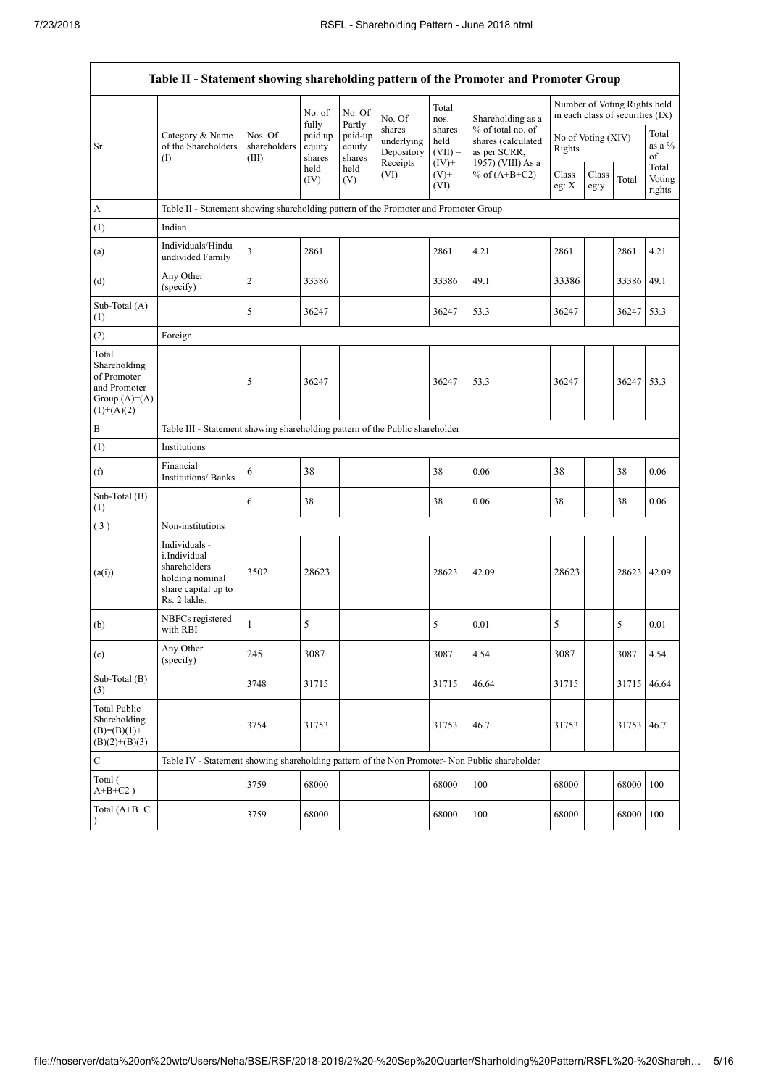$\overline{1}$ 

|                                                                                        | Table II - Statement showing shareholding pattern of the Promoter and Promoter Group                    |                                                                              |                             |                             |                                                |                                         |                                                                              |                                                                  |               |            |                           |
|----------------------------------------------------------------------------------------|---------------------------------------------------------------------------------------------------------|------------------------------------------------------------------------------|-----------------------------|-----------------------------|------------------------------------------------|-----------------------------------------|------------------------------------------------------------------------------|------------------------------------------------------------------|---------------|------------|---------------------------|
|                                                                                        |                                                                                                         |                                                                              | No. of<br>fully             | No. Of<br>Partly            | No. Of                                         | Total<br>nos.                           | Shareholding as a                                                            | Number of Voting Rights held<br>in each class of securities (IX) |               |            |                           |
| Sr.                                                                                    | Category & Name<br>of the Shareholders<br>$($ I                                                         | Nos. Of<br>shareholders<br>(III)                                             | paid up<br>equity<br>shares | paid-up<br>equity<br>shares | shares<br>underlying<br>Depository<br>Receipts | shares<br>held<br>$(VII) =$<br>$(IV)$ + | % of total no. of<br>shares (calculated<br>as per SCRR,<br>1957) (VIII) As a | No of Voting (XIV)<br>Rights                                     |               |            | Total<br>as a %<br>of     |
|                                                                                        |                                                                                                         |                                                                              | held<br>(IV)                | held<br>(V)                 | (VI)                                           | $(V)^+$<br>(VI)                         | % of $(A+B+C2)$                                                              | Class<br>eg: $\mathbf{X}$                                        | Class<br>eg:y | Total      | Total<br>Voting<br>rights |
| A                                                                                      | Table II - Statement showing shareholding pattern of the Promoter and Promoter Group                    |                                                                              |                             |                             |                                                |                                         |                                                                              |                                                                  |               |            |                           |
| (1)                                                                                    | Indian                                                                                                  |                                                                              |                             |                             |                                                |                                         |                                                                              |                                                                  |               |            |                           |
| (a)                                                                                    | Individuals/Hindu<br>undivided Family                                                                   | $\overline{\mathbf{3}}$                                                      | 2861                        |                             |                                                | 2861                                    | 4.21                                                                         | 2861                                                             |               | 2861       | 4.21                      |
| (d)                                                                                    | Any Other<br>(specify)                                                                                  | $\overline{c}$                                                               | 33386                       |                             |                                                | 33386                                   | 49.1                                                                         | 33386                                                            |               | 33386 49.1 |                           |
| Sub-Total (A)<br>(1)                                                                   |                                                                                                         | 5                                                                            | 36247                       |                             |                                                | 36247                                   | 53.3                                                                         | 36247                                                            |               | 36247 53.3 |                           |
| (2)                                                                                    | Foreign                                                                                                 |                                                                              |                             |                             |                                                |                                         |                                                                              |                                                                  |               |            |                           |
| Total<br>Shareholding<br>of Promoter<br>and Promoter<br>Group $(A)=A)$<br>$(1)+(A)(2)$ |                                                                                                         | 5                                                                            | 36247                       |                             |                                                | 36247                                   | 53.3                                                                         | 36247                                                            |               | 36247 53.3 |                           |
| $\, {\bf B}$                                                                           |                                                                                                         | Table III - Statement showing shareholding pattern of the Public shareholder |                             |                             |                                                |                                         |                                                                              |                                                                  |               |            |                           |
| (1)                                                                                    | Institutions                                                                                            |                                                                              |                             |                             |                                                |                                         |                                                                              |                                                                  |               |            |                           |
| (f)                                                                                    | Financial<br><b>Institutions/Banks</b>                                                                  | 6                                                                            | 38                          |                             |                                                | 38                                      | 0.06                                                                         | 38                                                               |               | 38         | 0.06                      |
| Sub-Total (B)<br>(1)                                                                   |                                                                                                         | 6                                                                            | 38                          |                             |                                                | 38                                      | 0.06                                                                         | 38                                                               |               | 38         | 0.06                      |
| (3)                                                                                    | Non-institutions                                                                                        |                                                                              |                             |                             |                                                |                                         |                                                                              |                                                                  |               |            |                           |
| (a(i))                                                                                 | Individuals -<br>i.Individual<br>shareholders<br>holding nominal<br>share capital up to<br>Rs. 2 lakhs. | 3502                                                                         | 28623                       |                             |                                                | 28623                                   | 42.09                                                                        | 28623                                                            |               | 28623      | 42.09                     |
| (b)                                                                                    | NBFCs registered<br>with RBI                                                                            | $\mathbf{1}$                                                                 | 5                           |                             |                                                | 5                                       | 0.01                                                                         | 5                                                                |               | 5          | 0.01                      |
| (e)                                                                                    | Any Other<br>(specify)                                                                                  | 245                                                                          | 3087                        |                             |                                                | 3087                                    | 4.54                                                                         | 3087                                                             |               | 3087       | 4.54                      |
| Sub-Total (B)<br>(3)                                                                   |                                                                                                         | 3748                                                                         | 31715                       |                             |                                                | 31715                                   | 46.64                                                                        | 31715                                                            |               | 31715      | 46.64                     |
| <b>Total Public</b><br>Shareholding<br>$(B)= (B)(1) +$<br>$(B)(2)+(B)(3)$              |                                                                                                         | 3754                                                                         | 31753                       |                             |                                                | 31753                                   | 46.7                                                                         | 31753                                                            |               | 31753      | 46.7                      |
| C                                                                                      | Table IV - Statement showing shareholding pattern of the Non Promoter- Non Public shareholder           |                                                                              |                             |                             |                                                |                                         |                                                                              |                                                                  |               |            |                           |
| Total (<br>$A+B+C2$ )                                                                  |                                                                                                         | 3759                                                                         | 68000                       |                             |                                                | 68000                                   | 100                                                                          | 68000                                                            |               | 68000 100  |                           |
| Total $(A+B+C)$<br>$\lambda$                                                           |                                                                                                         | 3759                                                                         | 68000                       |                             |                                                | 68000                                   | 100                                                                          | 68000                                                            |               | 68000 100  |                           |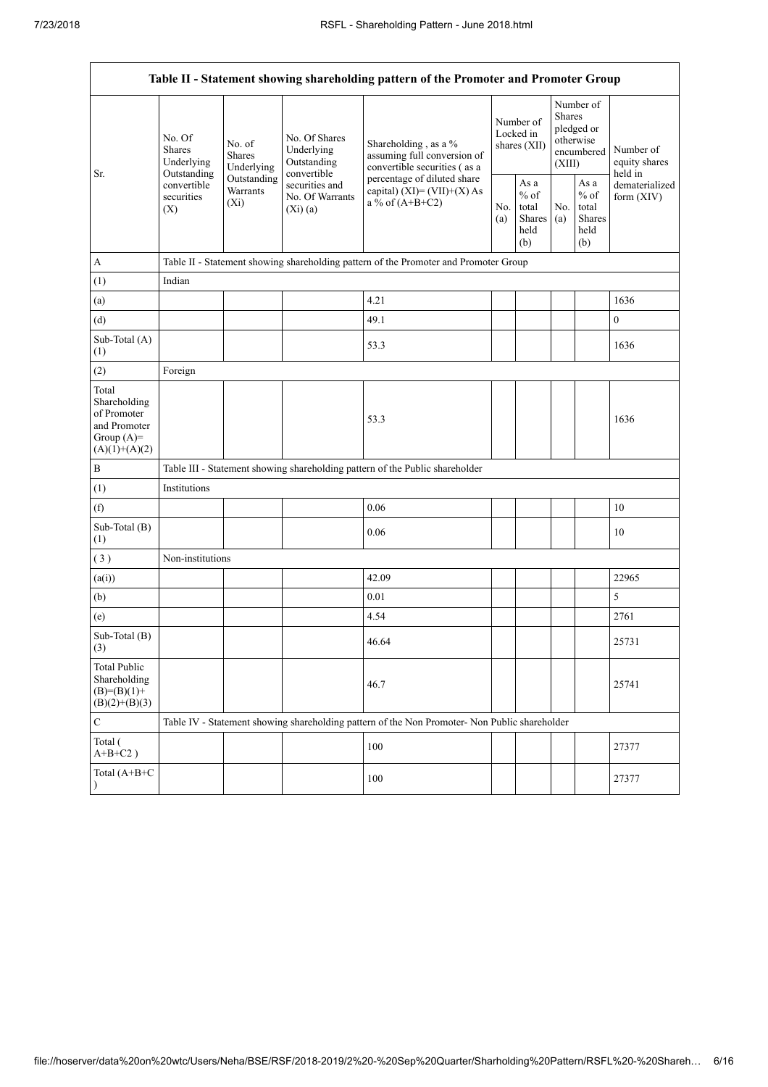| Table II - Statement showing shareholding pattern of the Promoter and Promoter Group    |                                                                                                                                                                         |                                              |                                                           |                                                                                                                    |                                                  |            |                                                                               |                                |                                       |  |
|-----------------------------------------------------------------------------------------|-------------------------------------------------------------------------------------------------------------------------------------------------------------------------|----------------------------------------------|-----------------------------------------------------------|--------------------------------------------------------------------------------------------------------------------|--------------------------------------------------|------------|-------------------------------------------------------------------------------|--------------------------------|---------------------------------------|--|
| Sr.                                                                                     | No. Of<br>No. of<br><b>Shares</b><br><b>Shares</b><br>Underlying<br>Underlying<br>Outstanding<br>Outstanding<br>convertible<br>Warrants<br>securities<br>$(X_i)$<br>(X) |                                              | No. Of Shares<br>Underlying<br>Outstanding<br>convertible | Shareholding, as a %<br>assuming full conversion of<br>convertible securities (as a<br>percentage of diluted share | Number of<br>Locked in<br>shares (XII)           |            | Number of<br><b>Shares</b><br>pledged or<br>otherwise<br>encumbered<br>(XIII) |                                | Number of<br>equity shares<br>held in |  |
|                                                                                         |                                                                                                                                                                         | securities and<br>No. Of Warrants<br>(Xi)(a) | capital) $(XI) = (VII)+(X) As$<br>a % of $(A+B+C2)$       |                                                                                                                    | As a<br>$%$ of<br>total<br>Shares<br>held<br>(b) | No.<br>(a) | As a<br>$%$ of<br>total<br>Shares<br>held<br>(b)                              | dematerialized<br>form $(XIV)$ |                                       |  |
| A                                                                                       |                                                                                                                                                                         |                                              |                                                           | Table II - Statement showing shareholding pattern of the Promoter and Promoter Group                               |                                                  |            |                                                                               |                                |                                       |  |
| (1)                                                                                     | Indian                                                                                                                                                                  |                                              |                                                           |                                                                                                                    |                                                  |            |                                                                               |                                |                                       |  |
| (a)                                                                                     |                                                                                                                                                                         |                                              |                                                           | 4.21                                                                                                               |                                                  |            |                                                                               |                                | 1636                                  |  |
| (d)                                                                                     |                                                                                                                                                                         |                                              |                                                           | 49.1                                                                                                               |                                                  |            |                                                                               |                                | $\boldsymbol{0}$                      |  |
| Sub-Total (A)<br>(1)                                                                    |                                                                                                                                                                         |                                              |                                                           | 53.3                                                                                                               |                                                  |            |                                                                               |                                | 1636                                  |  |
| (2)                                                                                     | Foreign                                                                                                                                                                 |                                              |                                                           |                                                                                                                    |                                                  |            |                                                                               |                                |                                       |  |
| Total<br>Shareholding<br>of Promoter<br>and Promoter<br>Group $(A)=$<br>$(A)(1)+(A)(2)$ |                                                                                                                                                                         |                                              |                                                           | 53.3                                                                                                               |                                                  |            |                                                                               |                                | 1636                                  |  |
| B                                                                                       |                                                                                                                                                                         |                                              |                                                           | Table III - Statement showing shareholding pattern of the Public shareholder                                       |                                                  |            |                                                                               |                                |                                       |  |
| (1)                                                                                     | Institutions                                                                                                                                                            |                                              |                                                           |                                                                                                                    |                                                  |            |                                                                               |                                |                                       |  |
| (f)                                                                                     |                                                                                                                                                                         |                                              |                                                           | 0.06                                                                                                               |                                                  |            |                                                                               |                                | 10                                    |  |
| Sub-Total (B)<br>(1)                                                                    |                                                                                                                                                                         |                                              |                                                           | 0.06                                                                                                               |                                                  |            |                                                                               |                                | 10                                    |  |
| (3)                                                                                     | Non-institutions                                                                                                                                                        |                                              |                                                           |                                                                                                                    |                                                  |            |                                                                               |                                |                                       |  |
| (a(i))                                                                                  |                                                                                                                                                                         |                                              |                                                           | 42.09                                                                                                              |                                                  |            |                                                                               |                                | 22965                                 |  |
| (b)                                                                                     |                                                                                                                                                                         |                                              |                                                           | 0.01                                                                                                               |                                                  |            |                                                                               |                                | 5                                     |  |
| (e)                                                                                     |                                                                                                                                                                         |                                              |                                                           | 4.54                                                                                                               |                                                  |            |                                                                               |                                | 2761                                  |  |
| Sub-Total (B)<br>(3)                                                                    |                                                                                                                                                                         |                                              |                                                           | 46.64                                                                                                              |                                                  |            |                                                                               |                                | 25731                                 |  |
| <b>Total Public</b><br>Shareholding<br>$(B)= (B)(1) +$<br>$(B)(2)+(B)(3)$               |                                                                                                                                                                         |                                              |                                                           | 46.7                                                                                                               |                                                  |            |                                                                               |                                | 25741                                 |  |
| $\mathbf C$                                                                             |                                                                                                                                                                         |                                              |                                                           | Table IV - Statement showing shareholding pattern of the Non Promoter- Non Public shareholder                      |                                                  |            |                                                                               |                                |                                       |  |
| Total (<br>$A+B+C2$ )                                                                   |                                                                                                                                                                         |                                              |                                                           | 100                                                                                                                |                                                  |            |                                                                               |                                | 27377                                 |  |
| Total (A+B+C<br>$\lambda$                                                               |                                                                                                                                                                         |                                              |                                                           | 100                                                                                                                |                                                  |            |                                                                               |                                | 27377                                 |  |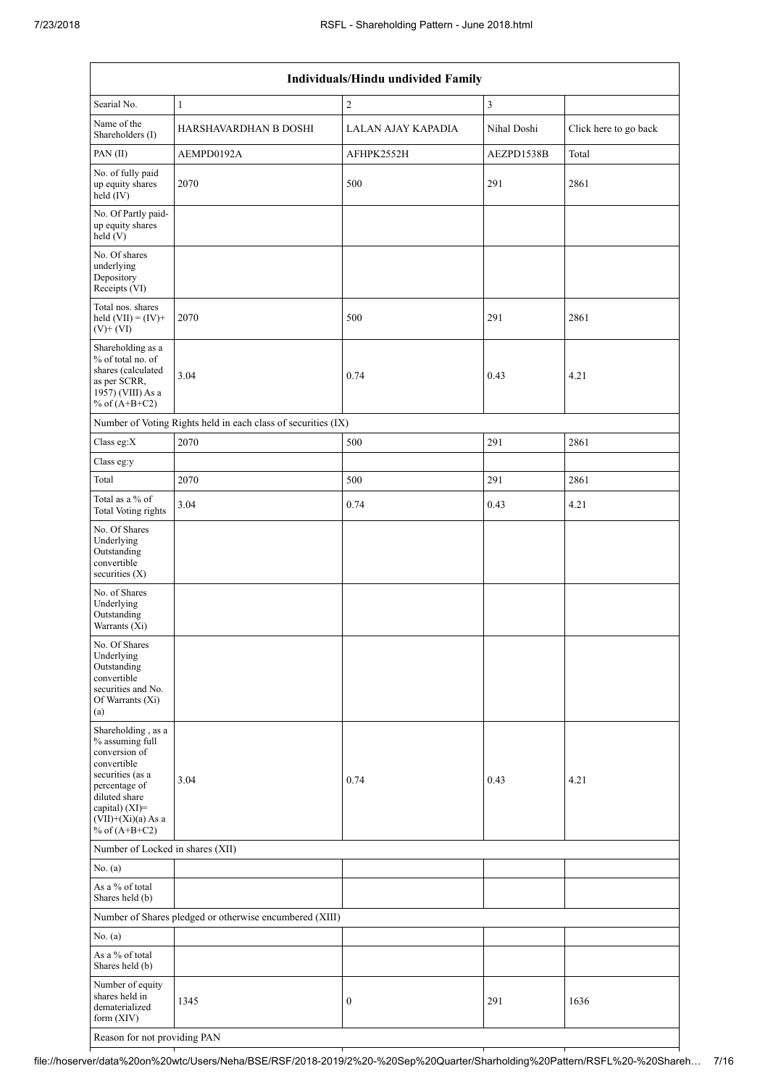| Individuals/Hindu undivided Family                                                                                                                                                       |                                                               |                    |                         |                       |  |  |  |  |  |
|------------------------------------------------------------------------------------------------------------------------------------------------------------------------------------------|---------------------------------------------------------------|--------------------|-------------------------|-----------------------|--|--|--|--|--|
| Searial No.                                                                                                                                                                              | $\mathbf{1}$                                                  | $\overline{c}$     | $\overline{\mathbf{3}}$ |                       |  |  |  |  |  |
| Name of the<br>Shareholders (I)                                                                                                                                                          | HARSHAVARDHAN B DOSHI                                         | LALAN AJAY KAPADIA | Nihal Doshi             | Click here to go back |  |  |  |  |  |
| PAN(II)                                                                                                                                                                                  | AEMPD0192A                                                    | AFHPK2552H         | AEZPD1538B              | Total                 |  |  |  |  |  |
| No. of fully paid<br>up equity shares<br>held (IV)                                                                                                                                       | 2070                                                          | 500                | 291                     | 2861                  |  |  |  |  |  |
| No. Of Partly paid-<br>up equity shares<br>held (V)                                                                                                                                      |                                                               |                    |                         |                       |  |  |  |  |  |
| No. Of shares<br>underlying<br>Depository<br>Receipts (VI)                                                                                                                               |                                                               |                    |                         |                       |  |  |  |  |  |
| Total nos. shares<br>held $(VII) = (IV) +$<br>$(V)$ + $(VI)$                                                                                                                             | 2070                                                          | 500                | 291                     | 2861                  |  |  |  |  |  |
| Shareholding as a<br>% of total no. of<br>shares (calculated<br>3.04<br>as per SCRR,<br>1957) (VIII) As a<br>% of $(A+B+C2)$                                                             |                                                               | 0.74               | 0.43                    | 4.21                  |  |  |  |  |  |
|                                                                                                                                                                                          | Number of Voting Rights held in each class of securities (IX) |                    |                         |                       |  |  |  |  |  |
| Class eg:X                                                                                                                                                                               | 2070                                                          | 500                | 291                     | 2861                  |  |  |  |  |  |
| Class eg:y                                                                                                                                                                               |                                                               |                    |                         |                       |  |  |  |  |  |
| Total                                                                                                                                                                                    | 2070                                                          | 500                | 291                     | 2861                  |  |  |  |  |  |
| Total as a % of<br><b>Total Voting rights</b>                                                                                                                                            | 3.04                                                          | 0.74               | 0.43                    | 4.21                  |  |  |  |  |  |
| No. Of Shares<br>Underlying<br>Outstanding<br>convertible<br>securities $(X)$                                                                                                            |                                                               |                    |                         |                       |  |  |  |  |  |
| No. of Shares<br>Underlying<br>Outstanding<br>Warrants (Xi)                                                                                                                              |                                                               |                    |                         |                       |  |  |  |  |  |
| No. Of Shares<br>Underlying<br>Outstanding<br>convertible<br>securities and No.<br>Of Warrants (Xi)<br>(a)                                                                               |                                                               |                    |                         |                       |  |  |  |  |  |
| Shareholding, as a<br>% assuming full<br>conversion of<br>convertible<br>securities (as a<br>percentage of<br>diluted share<br>capital) (XI)=<br>$(VII)+(Xi)(a)$ As a<br>% of $(A+B+C2)$ | 3.04                                                          | 0.74               | 0.43                    | 4.21                  |  |  |  |  |  |
| Number of Locked in shares (XII)                                                                                                                                                         |                                                               |                    |                         |                       |  |  |  |  |  |
| No. (a)                                                                                                                                                                                  |                                                               |                    |                         |                       |  |  |  |  |  |
| As a % of total<br>Shares held (b)                                                                                                                                                       |                                                               |                    |                         |                       |  |  |  |  |  |
|                                                                                                                                                                                          | Number of Shares pledged or otherwise encumbered (XIII)       |                    |                         |                       |  |  |  |  |  |
| No. (a)                                                                                                                                                                                  |                                                               |                    |                         |                       |  |  |  |  |  |
| As a % of total<br>Shares held (b)                                                                                                                                                       |                                                               |                    |                         |                       |  |  |  |  |  |
| Number of equity<br>shares held in<br>dematerialized<br>form (XIV)                                                                                                                       | 1345                                                          | 0                  | 291                     | 1636                  |  |  |  |  |  |
| Reason for not providing PAN                                                                                                                                                             |                                                               |                    |                         |                       |  |  |  |  |  |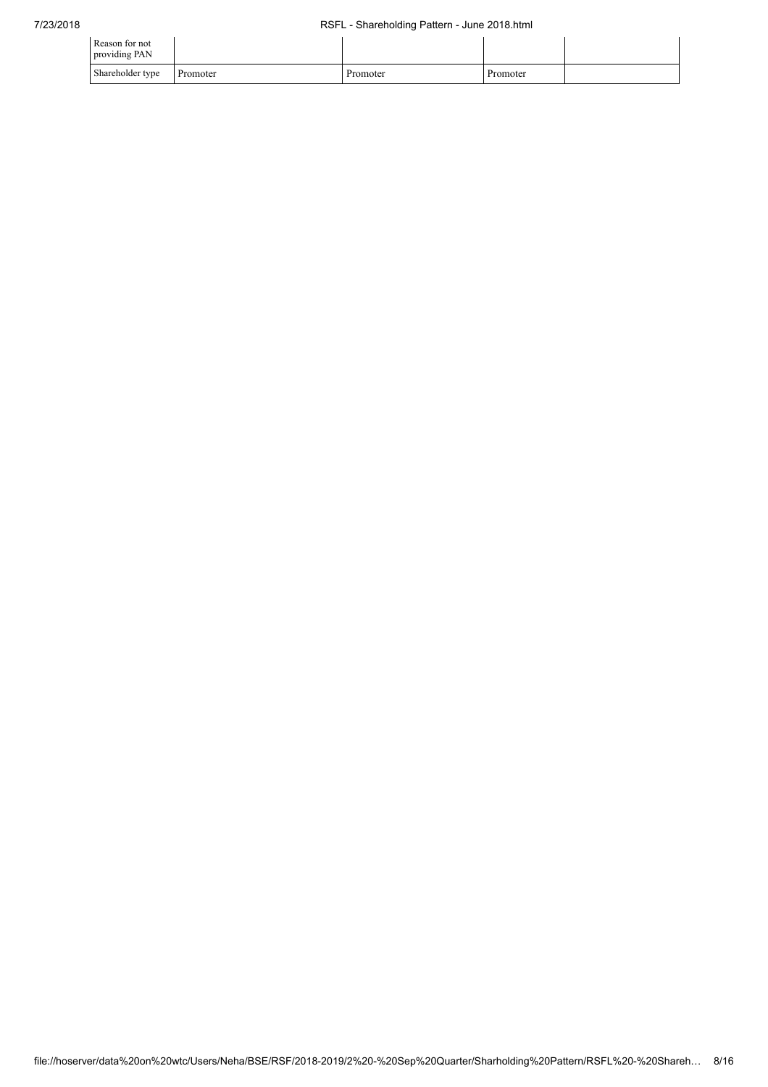| Reason for not<br>providing PAN |          |          |          |  |
|---------------------------------|----------|----------|----------|--|
| Shareholder type                | Promoter | Promoter | Promoter |  |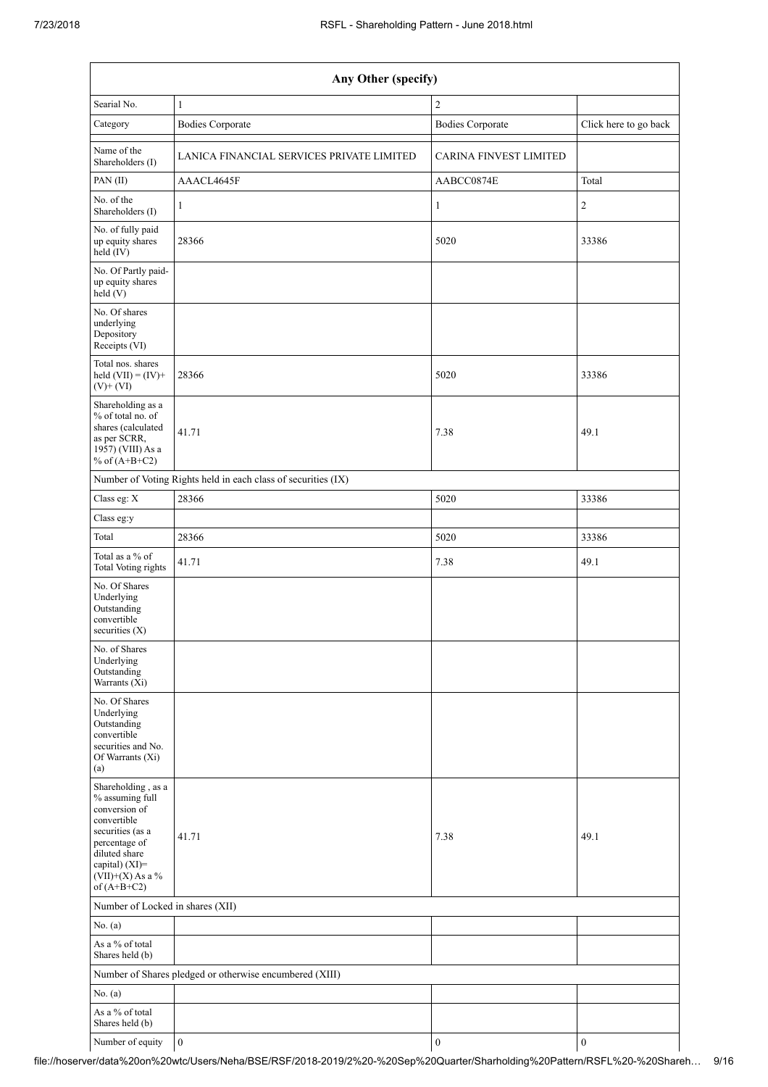| Any Other (specify)                                                                                                                                                                  |                                                         |                               |                       |  |  |  |  |  |  |
|--------------------------------------------------------------------------------------------------------------------------------------------------------------------------------------|---------------------------------------------------------|-------------------------------|-----------------------|--|--|--|--|--|--|
| Searial No.                                                                                                                                                                          | $\mathbf{1}$                                            | $\overline{c}$                |                       |  |  |  |  |  |  |
| Category                                                                                                                                                                             | <b>Bodies Corporate</b>                                 | <b>Bodies Corporate</b>       | Click here to go back |  |  |  |  |  |  |
| Name of the<br>Shareholders (I)                                                                                                                                                      | LANICA FINANCIAL SERVICES PRIVATE LIMITED               | <b>CARINA FINVEST LIMITED</b> |                       |  |  |  |  |  |  |
| PAN(II)                                                                                                                                                                              | AAACL4645F                                              | AABCC0874E                    | Total                 |  |  |  |  |  |  |
| No. of the<br>Shareholders (I)                                                                                                                                                       | $\mathbf{1}$                                            | $\mathbf{1}$                  | $\sqrt{2}$            |  |  |  |  |  |  |
| No. of fully paid<br>up equity shares<br>held (IV)                                                                                                                                   | 28366                                                   | 5020                          | 33386                 |  |  |  |  |  |  |
| No. Of Partly paid-<br>up equity shares<br>held (V)                                                                                                                                  |                                                         |                               |                       |  |  |  |  |  |  |
| No. Of shares<br>underlying<br>Depository<br>Receipts (VI)                                                                                                                           |                                                         |                               |                       |  |  |  |  |  |  |
| Total nos. shares<br>held $(VII) = (IV) +$<br>$(V)+(VI)$                                                                                                                             | 28366                                                   | 5020                          | 33386                 |  |  |  |  |  |  |
| Shareholding as a<br>% of total no. of<br>shares (calculated<br>as per SCRR,<br>1957) (VIII) As a<br>% of $(A+B+C2)$                                                                 | 41.71                                                   | 7.38                          | 49.1                  |  |  |  |  |  |  |
| Number of Voting Rights held in each class of securities (IX)                                                                                                                        |                                                         |                               |                       |  |  |  |  |  |  |
| Class eg: X                                                                                                                                                                          | 28366                                                   | 5020                          | 33386                 |  |  |  |  |  |  |
| Class eg:y                                                                                                                                                                           |                                                         |                               |                       |  |  |  |  |  |  |
| Total                                                                                                                                                                                | 28366                                                   | 5020                          | 33386                 |  |  |  |  |  |  |
| Total as a % of<br><b>Total Voting rights</b>                                                                                                                                        | 41.71                                                   | 7.38                          | 49.1                  |  |  |  |  |  |  |
| No. Of Shares<br>Underlying<br>Outstanding<br>convertible<br>securities $(X)$                                                                                                        |                                                         |                               |                       |  |  |  |  |  |  |
| No. of Shares<br>Underlying<br>Outstanding<br>Warrants (Xi)                                                                                                                          |                                                         |                               |                       |  |  |  |  |  |  |
| No. Of Shares<br>Underlying<br>Outstanding<br>convertible<br>securities and No.<br>Of Warrants (Xi)<br>(a)                                                                           |                                                         |                               |                       |  |  |  |  |  |  |
| Shareholding, as a<br>% assuming full<br>conversion of<br>convertible<br>securities (as a<br>percentage of<br>diluted share<br>capital) (XI)=<br>$(VII)+(X)$ As a %<br>of $(A+B+C2)$ | 41.71                                                   | 7.38                          | 49.1                  |  |  |  |  |  |  |
| Number of Locked in shares (XII)                                                                                                                                                     |                                                         |                               |                       |  |  |  |  |  |  |
| No. (a)                                                                                                                                                                              |                                                         |                               |                       |  |  |  |  |  |  |
| As a % of total<br>Shares held (b)                                                                                                                                                   |                                                         |                               |                       |  |  |  |  |  |  |
|                                                                                                                                                                                      | Number of Shares pledged or otherwise encumbered (XIII) |                               |                       |  |  |  |  |  |  |
| No. (a)                                                                                                                                                                              |                                                         |                               |                       |  |  |  |  |  |  |
| As a % of total<br>Shares held (b)                                                                                                                                                   |                                                         |                               |                       |  |  |  |  |  |  |
| Number of equity                                                                                                                                                                     | $\boldsymbol{0}$                                        | $\boldsymbol{0}$              | $\boldsymbol{0}$      |  |  |  |  |  |  |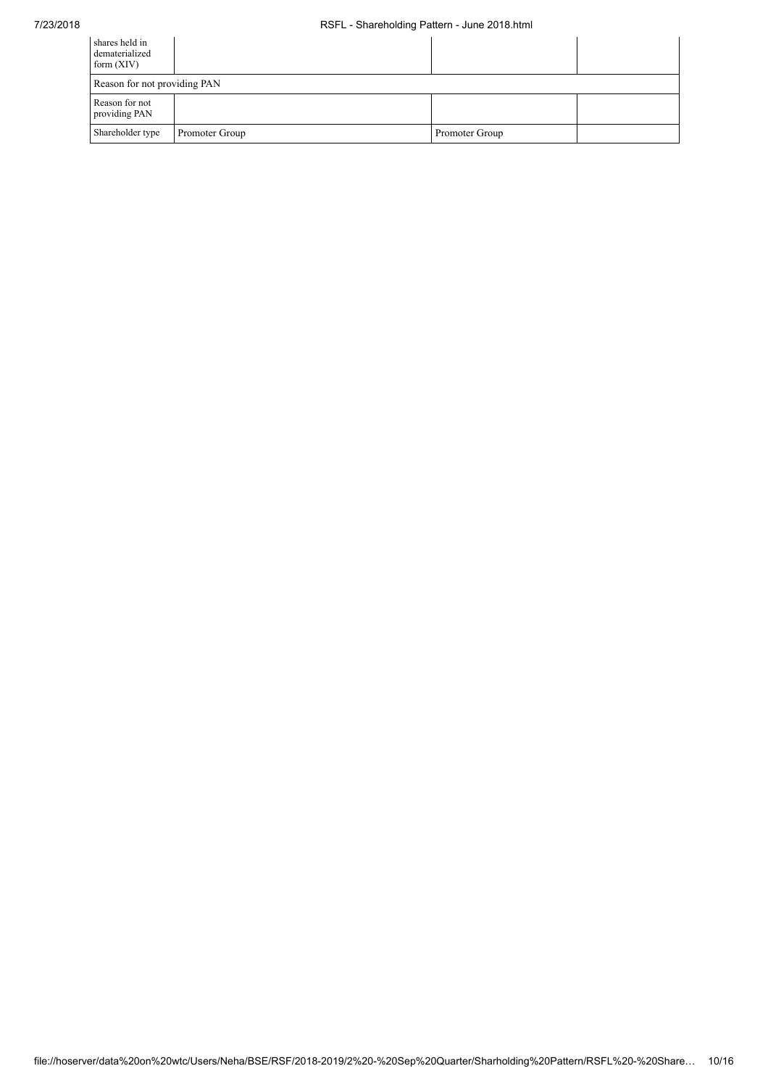| shares held in<br>dematerialized<br>form $(XIV)$ |                |                |  |  |  |  |  |
|--------------------------------------------------|----------------|----------------|--|--|--|--|--|
| Reason for not providing PAN                     |                |                |  |  |  |  |  |
| Reason for not<br>providing PAN                  |                |                |  |  |  |  |  |
| Shareholder type                                 | Promoter Group | Promoter Group |  |  |  |  |  |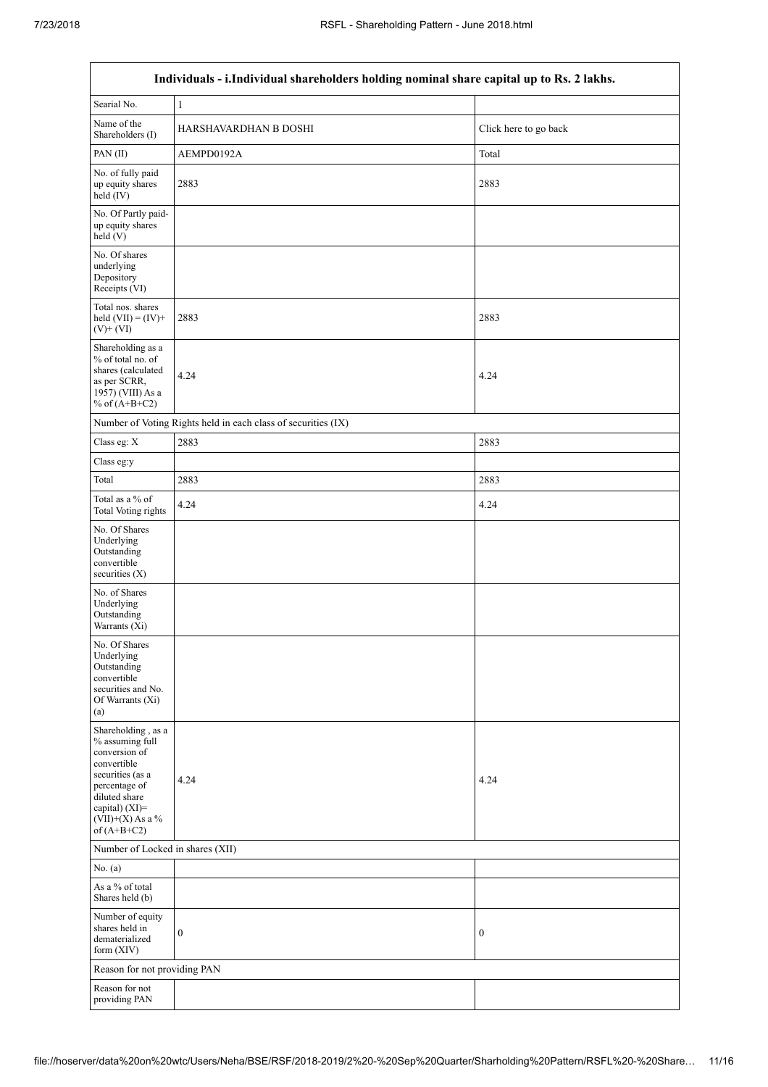$\overline{1}$ 

٦

| Individuals - i.Individual shareholders holding nominal share capital up to Rs. 2 lakhs.                                                                                             |                                                               |                       |  |  |  |  |  |  |
|--------------------------------------------------------------------------------------------------------------------------------------------------------------------------------------|---------------------------------------------------------------|-----------------------|--|--|--|--|--|--|
| Searial No.                                                                                                                                                                          | $\mathbf{1}$                                                  |                       |  |  |  |  |  |  |
| Name of the<br>Shareholders (I)                                                                                                                                                      | HARSHAVARDHAN B DOSHI                                         | Click here to go back |  |  |  |  |  |  |
| PAN(II)                                                                                                                                                                              | AEMPD0192A                                                    | Total                 |  |  |  |  |  |  |
| No. of fully paid<br>up equity shares<br>held (IV)                                                                                                                                   | 2883                                                          | 2883                  |  |  |  |  |  |  |
| No. Of Partly paid-<br>up equity shares<br>held (V)                                                                                                                                  |                                                               |                       |  |  |  |  |  |  |
| No. Of shares<br>underlying<br>Depository<br>Receipts (VI)                                                                                                                           |                                                               |                       |  |  |  |  |  |  |
| Total nos. shares<br>held $(VII) = (IV) +$<br>$(V)$ + $(VI)$                                                                                                                         | 2883                                                          | 2883                  |  |  |  |  |  |  |
| Shareholding as a<br>% of total no. of<br>shares (calculated<br>as per SCRR,<br>1957) (VIII) As a<br>% of $(A+B+C2)$                                                                 | 4.24                                                          | 4.24                  |  |  |  |  |  |  |
|                                                                                                                                                                                      | Number of Voting Rights held in each class of securities (IX) |                       |  |  |  |  |  |  |
| Class eg: X                                                                                                                                                                          | 2883                                                          | 2883                  |  |  |  |  |  |  |
| Class eg:y                                                                                                                                                                           |                                                               |                       |  |  |  |  |  |  |
| Total                                                                                                                                                                                | 2883                                                          | 2883                  |  |  |  |  |  |  |
| Total as a % of<br><b>Total Voting rights</b>                                                                                                                                        | 4.24                                                          | 4.24                  |  |  |  |  |  |  |
| No. Of Shares<br>Underlying<br>Outstanding<br>convertible<br>securities $(X)$                                                                                                        |                                                               |                       |  |  |  |  |  |  |
| No. of Shares<br>Underlying<br>Outstanding<br>Warrants (Xi)                                                                                                                          |                                                               |                       |  |  |  |  |  |  |
| No. Of Shares<br>Underlying<br>Outstanding<br>convertible<br>securities and No.<br>Of Warrants (Xi)<br>(a)                                                                           |                                                               |                       |  |  |  |  |  |  |
| Shareholding, as a<br>% assuming full<br>conversion of<br>convertible<br>securities (as a<br>percentage of<br>diluted share<br>capital) (XI)=<br>$(VII)+(X)$ As a %<br>of $(A+B+C2)$ | 4.24                                                          | 4.24                  |  |  |  |  |  |  |
| Number of Locked in shares (XII)                                                                                                                                                     |                                                               |                       |  |  |  |  |  |  |
| No. $(a)$                                                                                                                                                                            |                                                               |                       |  |  |  |  |  |  |
| As a % of total<br>Shares held (b)                                                                                                                                                   |                                                               |                       |  |  |  |  |  |  |
| Number of equity<br>shares held in<br>dematerialized<br>form $(XIV)$                                                                                                                 | $\boldsymbol{0}$                                              | $\boldsymbol{0}$      |  |  |  |  |  |  |
| Reason for not providing PAN                                                                                                                                                         |                                                               |                       |  |  |  |  |  |  |
| Reason for not<br>providing PAN                                                                                                                                                      |                                                               |                       |  |  |  |  |  |  |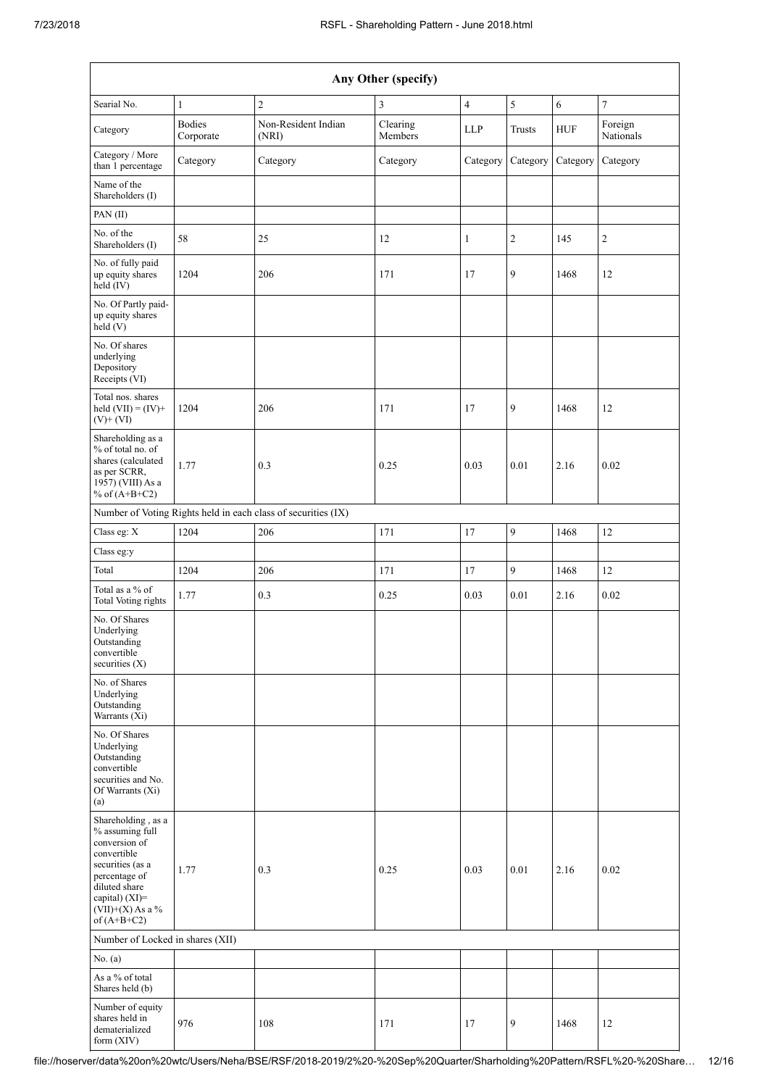|                                                                                                                                                                                      | Any Other (specify)        |                                                               |                     |                |                |            |                      |  |  |  |  |
|--------------------------------------------------------------------------------------------------------------------------------------------------------------------------------------|----------------------------|---------------------------------------------------------------|---------------------|----------------|----------------|------------|----------------------|--|--|--|--|
| Searial No.                                                                                                                                                                          | $\mathbf{1}$               | $\overline{2}$                                                | 3                   | $\overline{4}$ | $\sqrt{5}$     | $\sqrt{6}$ | $\overline{7}$       |  |  |  |  |
| Category                                                                                                                                                                             | <b>Bodies</b><br>Corporate | Non-Resident Indian<br>(NRI)                                  | Clearing<br>Members | <b>LLP</b>     | <b>Trusts</b>  | <b>HUF</b> | Foreign<br>Nationals |  |  |  |  |
| Category / More<br>than 1 percentage                                                                                                                                                 | Category                   | Category                                                      | Category            | Category       | Category       | Category   | Category             |  |  |  |  |
| Name of the<br>Shareholders (I)                                                                                                                                                      |                            |                                                               |                     |                |                |            |                      |  |  |  |  |
| PAN(II)                                                                                                                                                                              |                            |                                                               |                     |                |                |            |                      |  |  |  |  |
| No. of the<br>Shareholders (I)                                                                                                                                                       | 58                         | 25                                                            | 12                  | $\mathbf{1}$   | $\overline{2}$ | 145        | $\overline{c}$       |  |  |  |  |
| No. of fully paid<br>up equity shares<br>held (IV)                                                                                                                                   | 1204                       | 206                                                           | 171                 | 17             | 9              | 1468       | 12                   |  |  |  |  |
| No. Of Partly paid-<br>up equity shares<br>held(V)                                                                                                                                   |                            |                                                               |                     |                |                |            |                      |  |  |  |  |
| No. Of shares<br>underlying<br>Depository<br>Receipts (VI)                                                                                                                           |                            |                                                               |                     |                |                |            |                      |  |  |  |  |
| Total nos. shares<br>held $(VII) = (IV) +$<br>$(V)$ + $(VI)$                                                                                                                         | 1204                       | 206                                                           | 171                 | 17             | 9              | 1468       | 12                   |  |  |  |  |
| Shareholding as a<br>% of total no. of<br>shares (calculated<br>as per SCRR,<br>1957) (VIII) As a<br>% of $(A+B+C2)$                                                                 | 1.77                       | 0.3                                                           | 0.25                | 0.03           | 0.01           | 2.16       | 0.02                 |  |  |  |  |
|                                                                                                                                                                                      |                            | Number of Voting Rights held in each class of securities (IX) |                     |                |                |            |                      |  |  |  |  |
| Class eg: X                                                                                                                                                                          | 1204                       | 206                                                           | 171                 | 17             | 9              | 1468       | 12                   |  |  |  |  |
| Class eg:y                                                                                                                                                                           |                            |                                                               |                     |                |                |            |                      |  |  |  |  |
| Total                                                                                                                                                                                | 1204                       | 206                                                           | 171                 | 17             | $\overline{9}$ | 1468       | 12                   |  |  |  |  |
| Total as a % of<br><b>Total Voting rights</b>                                                                                                                                        | 1.77                       | 0.3                                                           | 0.25                | 0.03           | 0.01           | 2.16       | 0.02                 |  |  |  |  |
| No. Of Shares<br>Underlying<br>Outstanding<br>convertible<br>securities (X)                                                                                                          |                            |                                                               |                     |                |                |            |                      |  |  |  |  |
| No. of Shares<br>Underlying<br>Outstanding<br>Warrants (Xi)                                                                                                                          |                            |                                                               |                     |                |                |            |                      |  |  |  |  |
| No. Of Shares<br>Underlying<br>Outstanding<br>convertible<br>securities and No.<br>Of Warrants (Xi)<br>(a)                                                                           |                            |                                                               |                     |                |                |            |                      |  |  |  |  |
| Shareholding, as a<br>% assuming full<br>conversion of<br>convertible<br>securities (as a<br>percentage of<br>diluted share<br>capital) (XI)=<br>$(VII)+(X)$ As a %<br>of $(A+B+C2)$ | 1.77                       | 0.3                                                           | 0.25                | 0.03           | 0.01           | 2.16       | 0.02                 |  |  |  |  |
| Number of Locked in shares (XII)                                                                                                                                                     |                            |                                                               |                     |                |                |            |                      |  |  |  |  |
| No. (a)                                                                                                                                                                              |                            |                                                               |                     |                |                |            |                      |  |  |  |  |
| As a % of total<br>Shares held (b)                                                                                                                                                   |                            |                                                               |                     |                |                |            |                      |  |  |  |  |
| Number of equity<br>shares held in<br>dematerialized<br>form (XIV)                                                                                                                   | 976                        | 108                                                           | 171                 | 17             | 9              | 1468       | 12                   |  |  |  |  |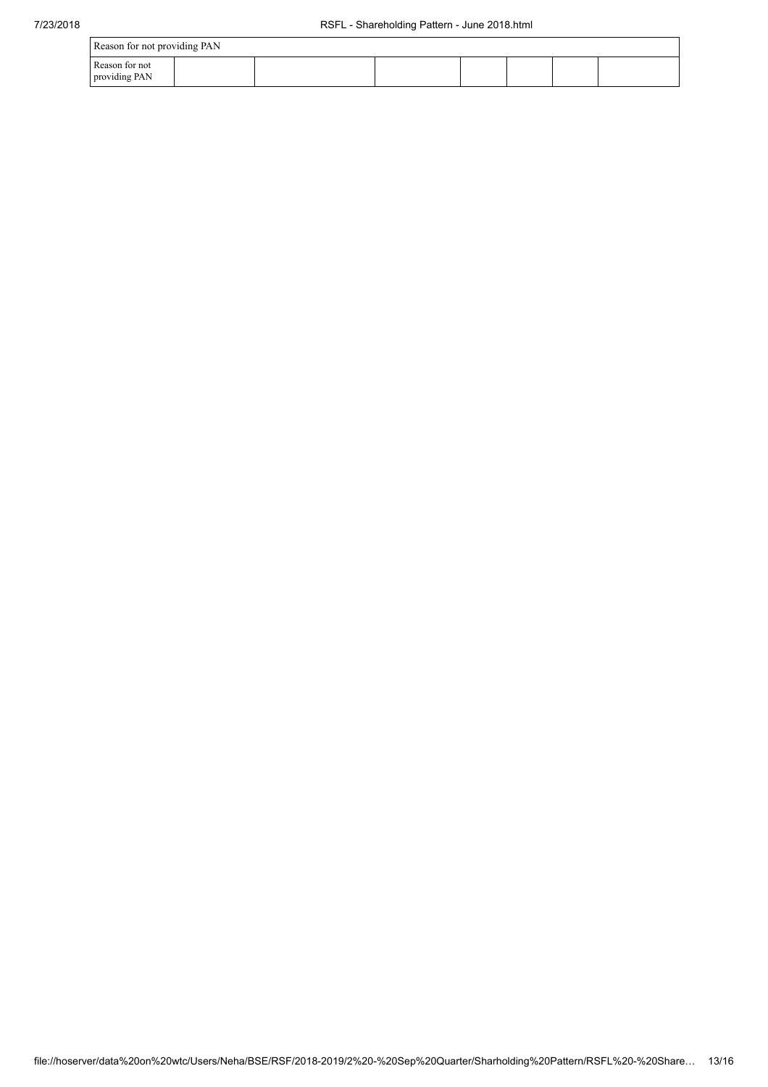| Reason for not providing PAN    |  |  |  |  |  |  |  |
|---------------------------------|--|--|--|--|--|--|--|
| Reason for not<br>providing PAN |  |  |  |  |  |  |  |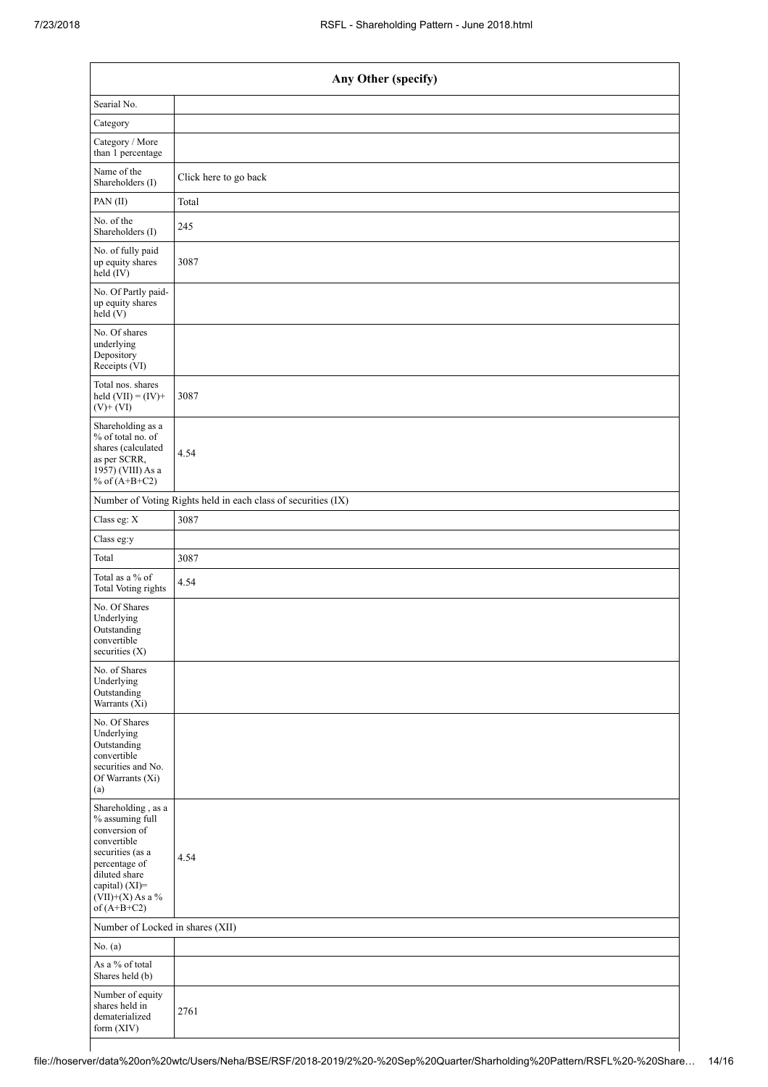| Any Other (specify)                                                                                                                                                                  |                                                               |  |  |  |  |
|--------------------------------------------------------------------------------------------------------------------------------------------------------------------------------------|---------------------------------------------------------------|--|--|--|--|
| Searial No.                                                                                                                                                                          |                                                               |  |  |  |  |
| Category                                                                                                                                                                             |                                                               |  |  |  |  |
| Category / More<br>than 1 percentage                                                                                                                                                 |                                                               |  |  |  |  |
| Name of the<br>Shareholders (I)                                                                                                                                                      | Click here to go back                                         |  |  |  |  |
| PAN $(II)$                                                                                                                                                                           | Total                                                         |  |  |  |  |
| No. of the<br>Shareholders (I)                                                                                                                                                       | 245                                                           |  |  |  |  |
| No. of fully paid<br>up equity shares<br>held (IV)                                                                                                                                   | 3087                                                          |  |  |  |  |
| No. Of Partly paid-<br>up equity shares<br>held (V)                                                                                                                                  |                                                               |  |  |  |  |
| No. Of shares<br>underlying<br>Depository<br>Receipts (VI)                                                                                                                           |                                                               |  |  |  |  |
| Total nos. shares<br>held $(VII) = (IV) +$<br>$(V)$ + $(VI)$                                                                                                                         | 3087                                                          |  |  |  |  |
| Shareholding as a<br>% of total no. of<br>shares (calculated<br>as per SCRR,<br>1957) (VIII) As a<br>% of $(A+B+C2)$                                                                 | 4.54                                                          |  |  |  |  |
|                                                                                                                                                                                      | Number of Voting Rights held in each class of securities (IX) |  |  |  |  |
| Class eg: X                                                                                                                                                                          | 3087                                                          |  |  |  |  |
| Class eg:y                                                                                                                                                                           |                                                               |  |  |  |  |
| Total                                                                                                                                                                                | 3087                                                          |  |  |  |  |
| Total as a % of<br><b>Total Voting rights</b>                                                                                                                                        | 4.54                                                          |  |  |  |  |
| No. Of Shares<br>Underlying<br>Outstanding<br>convertible<br>securities $(X)$                                                                                                        |                                                               |  |  |  |  |
| No. of Shares<br>Underlying<br>Outstanding<br>Warrants (Xi)                                                                                                                          |                                                               |  |  |  |  |
| No. Of Shares<br>Underlying<br>Outstanding<br>convertible<br>securities and No.<br>Of Warrants (Xi)<br>(a)                                                                           |                                                               |  |  |  |  |
| Shareholding, as a<br>% assuming full<br>conversion of<br>convertible<br>securities (as a<br>percentage of<br>diluted share<br>capital) (XI)=<br>$(VII)+(X)$ As a %<br>of $(A+B+C2)$ | 4.54                                                          |  |  |  |  |
|                                                                                                                                                                                      | Number of Locked in shares (XII)                              |  |  |  |  |
| No. $(a)$                                                                                                                                                                            |                                                               |  |  |  |  |
| As a % of total<br>Shares held (b)                                                                                                                                                   |                                                               |  |  |  |  |
| Number of equity<br>shares held in<br>dematerialized<br>form (XIV)                                                                                                                   | 2761                                                          |  |  |  |  |